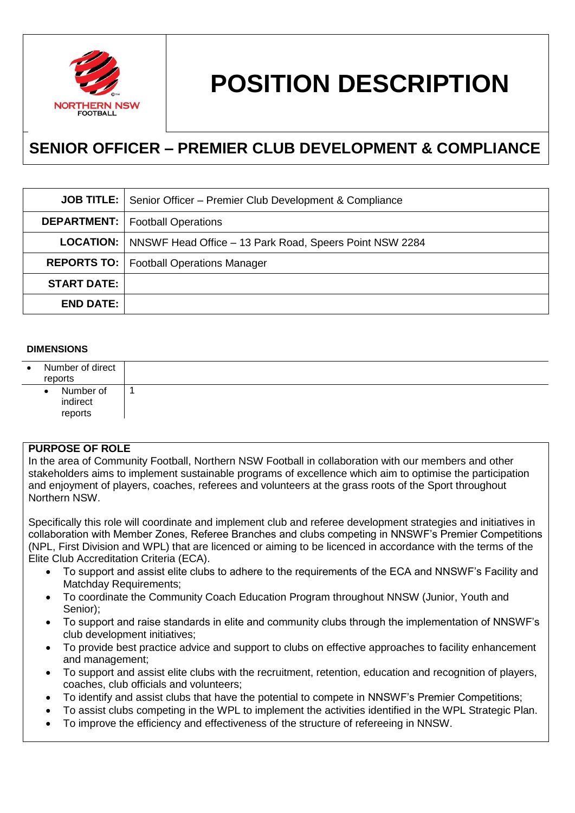

# **POSITION DESCRIPTION**

# **SENIOR OFFICER – PREMIER CLUB DEVELOPMENT & COMPLIANCE**

|                    | <b>JOB TITLE:</b>   Senior Officer – Premier Club Development & Compliance |
|--------------------|----------------------------------------------------------------------------|
|                    | <b>DEPARTMENT:</b>   Football Operations                                   |
|                    | <b>LOCATION:</b>   NNSWF Head Office – 13 Park Road, Speers Point NSW 2284 |
|                    | <b>REPORTS TO:</b>   Football Operations Manager                           |
| <b>START DATE:</b> |                                                                            |
| <b>END DATE:</b>   |                                                                            |

#### **DIMENSIONS**

| $\bullet$ | Number of direct<br>reports                   |  |
|-----------|-----------------------------------------------|--|
|           | Number of<br>$\bullet$<br>indirect<br>reports |  |

#### **PURPOSE OF ROLE**

In the area of Community Football, Northern NSW Football in collaboration with our members and other stakeholders aims to implement sustainable programs of excellence which aim to optimise the participation and enjoyment of players, coaches, referees and volunteers at the grass roots of the Sport throughout Northern NSW.

Specifically this role will coordinate and implement club and referee development strategies and initiatives in collaboration with Member Zones, Referee Branches and clubs competing in NNSWF's Premier Competitions (NPL, First Division and WPL) that are licenced or aiming to be licenced in accordance with the terms of the Elite Club Accreditation Criteria (ECA).

- To support and assist elite clubs to adhere to the requirements of the ECA and NNSWF's Facility and Matchday Requirements;
- To coordinate the Community Coach Education Program throughout NNSW (Junior, Youth and Senior);
- To support and raise standards in elite and community clubs through the implementation of NNSWF's club development initiatives;
- To provide best practice advice and support to clubs on effective approaches to facility enhancement and management;
- To support and assist elite clubs with the recruitment, retention, education and recognition of players, coaches, club officials and volunteers;
- To identify and assist clubs that have the potential to compete in NNSWF's Premier Competitions;
- To assist clubs competing in the WPL to implement the activities identified in the WPL Strategic Plan.
- To improve the efficiency and effectiveness of the structure of refereeing in NNSW.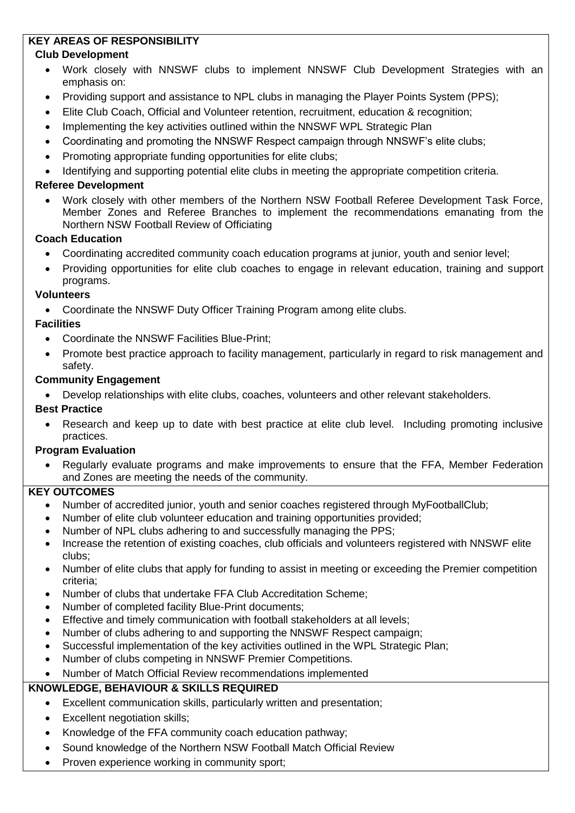## **KEY AREAS OF RESPONSIBILITY**

#### **Club Development**

- Work closely with NNSWF clubs to implement NNSWF Club Development Strategies with an emphasis on:
- Providing support and assistance to NPL clubs in managing the Player Points System (PPS);
- Elite Club Coach, Official and Volunteer retention, recruitment, education & recognition;
- Implementing the key activities outlined within the NNSWF WPL Strategic Plan
- Coordinating and promoting the NNSWF Respect campaign through NNSWF's elite clubs;
- Promoting appropriate funding opportunities for elite clubs;
- Identifying and supporting potential elite clubs in meeting the appropriate competition criteria.

#### **Referee Development**

 Work closely with other members of the Northern NSW Football Referee Development Task Force, Member Zones and Referee Branches to implement the recommendations emanating from the Northern NSW Football Review of Officiating

#### **Coach Education**

- Coordinating accredited community coach education programs at junior, youth and senior level;
- Providing opportunities for elite club coaches to engage in relevant education, training and support programs.

#### **Volunteers**

Coordinate the NNSWF Duty Officer Training Program among elite clubs.

### **Facilities**

- Coordinate the NNSWF Facilities Blue-Print;
- Promote best practice approach to facility management, particularly in regard to risk management and safety.

#### **Community Engagement**

Develop relationships with elite clubs, coaches, volunteers and other relevant stakeholders.

#### **Best Practice**

 Research and keep up to date with best practice at elite club level. Including promoting inclusive practices.

#### **Program Evaluation**

 Regularly evaluate programs and make improvements to ensure that the FFA, Member Federation and Zones are meeting the needs of the community.

#### **KEY OUTCOMES**

- Number of accredited junior, youth and senior coaches registered through MyFootballClub;
- Number of elite club volunteer education and training opportunities provided;
- Number of NPL clubs adhering to and successfully managing the PPS;
- Increase the retention of existing coaches, club officials and volunteers registered with NNSWF elite clubs;
- Number of elite clubs that apply for funding to assist in meeting or exceeding the Premier competition criteria;
- Number of clubs that undertake FFA Club Accreditation Scheme;
- Number of completed facility Blue-Print documents;
- Effective and timely communication with football stakeholders at all levels;
- Number of clubs adhering to and supporting the NNSWF Respect campaign;
- Successful implementation of the key activities outlined in the WPL Strategic Plan;
- Number of clubs competing in NNSWF Premier Competitions.
- Number of Match Official Review recommendations implemented

#### **KNOWLEDGE, BEHAVIOUR & SKILLS REQUIRED**

- Excellent communication skills, particularly written and presentation;
- Excellent negotiation skills;
- Knowledge of the FFA community coach education pathway;
- Sound knowledge of the Northern NSW Football Match Official Review
- Proven experience working in community sport;